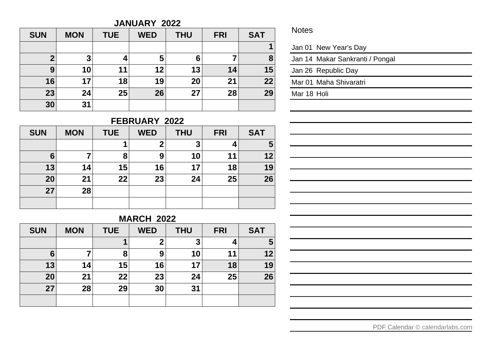#### **JANUARY 2022**

| <b>SUN</b> | <b>MON</b> | <b>TUE</b> | <b>WED</b> | <b>THU</b> | <b>FRI</b> | <b>SAT</b> |
|------------|------------|------------|------------|------------|------------|------------|
|            |            |            |            |            |            | 1          |
| 2          | 3          |            | 5          | 6          |            | 8          |
| 9          | 10         | 11         | 12         | 13         | 14         | 15         |
| 16         | 17         | 18         | 19         | 20         | 21         | 22         |
| 23         | 24         | 25         | 26         | 27         | 28         | 29         |
| 30         | 31         |            |            |            |            |            |

#### **FEBRUARY 2022**

| <b>SUN</b> | <b>MON</b> | <b>TUE</b> | <b>WED</b> | <b>THU</b> | <b>FRI</b> | <b>SAT</b> |
|------------|------------|------------|------------|------------|------------|------------|
|            |            |            | o          | 3          |            | 5          |
| 6          | 7          | 8          | 9          | 10         | 11         | 12         |
| 13         | 14         | 15         | 16         | 17         | 18         | 19         |
| 20         | 21         | 22         | 23         | 24         | 25         | 26         |
| 27         | 28         |            |            |            |            |            |
|            |            |            |            |            |            |            |

## **MARCH 2022**

| <b>SUN</b> | <b>MON</b> | <b>TUE</b> | <b>WED</b> | <b>THU</b> | <b>FRI</b> | <b>SAT</b> |
|------------|------------|------------|------------|------------|------------|------------|
|            |            | 1          | ◠          | 3          | 4          | 5          |
| 6          | 7          | 8          | 9          | 10         | 11         | 12         |
| 13         | 14         | 15         | 16         | 17         | 18         | 19         |
| 20         | 21         | 22         | 23         | 24         | 25         | 26         |
| 27         | 28         | 29         | 30         | 31         |            |            |
|            |            |            |            |            |            |            |

#### Notes

| Jan 01 New Year's Day |  |
|-----------------------|--|
|                       |  |

Jan 14 Makar Sankranti / Pongal

Jan 26 Republic Day

Mar 01 Maha Shivaratri

Mar 18 Holi

| and the control of the control of the control of the control of the control of the control of the control of the     |  |  |
|----------------------------------------------------------------------------------------------------------------------|--|--|
| <u> 1989 - Andrea Santa Andrea Andrea Andrea Andrea Andrea Andrea Andrea Andrea Andrea Andrea Andrea Andrea Andr</u> |  |  |
| <u> 1989 - Andrea Santa Andrea Andrea Andrea Andrea Andrea Andrea Andrea Andrea Andrea Andrea Andrea Andrea Andr</u> |  |  |
| <u> 1989 - Andrea Andrew Maria (h. 1989).</u>                                                                        |  |  |
| <u> 1989 - Johann Stoff, amerikansk politiker (* 1908)</u>                                                           |  |  |
| <u> 1989 - Andrea Andrew Maria (h. 1989).</u>                                                                        |  |  |
| <u> 1989 - Andrea Andrew Maria (h. 1989).</u>                                                                        |  |  |
| ,我们也不会不会不会不会不会不会不会不会不会不会不会不会不会不会不会不会不会。""我们不会不会不会不会不会不会不会不会不会不会。""我们不会不会不会不会不会不会                                     |  |  |
| <u> 1989 - Andrea Andrew Maria (h. 1989).</u>                                                                        |  |  |
|                                                                                                                      |  |  |
| <u> 1989 - Andrea Andrew Maria (h. 1989).</u>                                                                        |  |  |
|                                                                                                                      |  |  |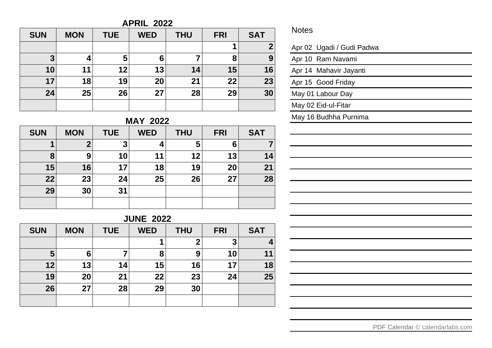## **APRIL 2022**

| <b>SUN</b> | <b>MON</b> | <b>TUE</b> | <b>WED</b> | <b>THU</b> | <b>FRI</b> | <b>SAT</b>       |
|------------|------------|------------|------------|------------|------------|------------------|
|            |            |            |            |            |            | $\boldsymbol{2}$ |
| 3          | 4          | 5          | 6          |            | 8          | 9                |
| 10         | 11         | 12         | 13         | 14         | 15         | 16               |
| 17         | 18         | 19         | 20         | 21         | 22         | 23               |
| 24         | 25         | 26         | 27         | 28         | 29         | 30               |
|            |            |            |            |            |            |                  |

#### **MAY 2022**

| <b>SUN</b> | <b>MON</b> | <b>TUE</b> | <b>WED</b> | <b>THU</b> | <b>FRI</b> | <b>SAT</b> |
|------------|------------|------------|------------|------------|------------|------------|
|            | 2          | 3          |            | 5          | 6          | 7          |
| 8          | 9          | 10         | 11         | 12         | 13         | 14         |
| 15         | 16         | 17         | 18         | 19         | 20         | 21         |
| 22         | 23         | 24         | 25         | 26         | 27         | 28         |
| 29         | 30         | 31         |            |            |            |            |
|            |            |            |            |            |            |            |

# **JUNE 2022**

| <b>SUN</b> | <b>MON</b> | <b>TUE</b> | <b>WED</b> | <b>THU</b> | <b>FRI</b> | <b>SAT</b> |
|------------|------------|------------|------------|------------|------------|------------|
|            |            |            |            | 2          | 3          |            |
| 5          | 6          |            | 8          | 9          | 10         | 11         |
| 12         | 13         | 14         | 15         | 16         | 17         | 18         |
| 19         | 20         | 21         | 22         | 23         | 24         | 25         |
| 26         | 27         | 28         | 29         | 30         |            |            |
|            |            |            |            |            |            |            |

#### Notes

| Apr 02 Ugadi / Gudi Padwa |
|---------------------------|
| Apr 10 Ram Navami         |
| Apr 14 Mahavir Jayanti    |
| Apr 15 Good Friday        |
| May 01 Labour Day         |
| May 02 Eid-ul-Fitar       |
| May 16 Budhha Purnima     |
|                           |
|                           |
|                           |
|                           |
|                           |
|                           |
|                           |
|                           |
|                           |
|                           |
|                           |
|                           |
|                           |
|                           |
|                           |
|                           |

[PDF Calendar](https://www.calendarlabs.com/pdf-calendar) © calendarlabs.com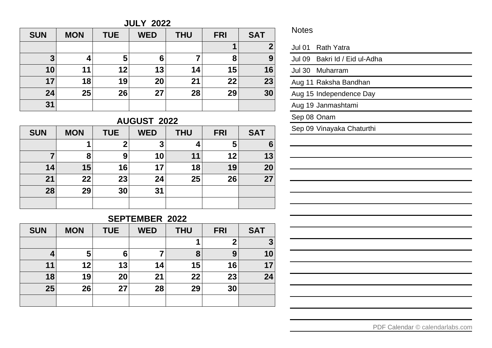**JULY 2022**

| <b>SUN</b> | <b>MON</b> | <b>TUE</b> | <b>WED</b> | <b>THU</b> | <b>FRI</b> | <b>SAT</b>   |
|------------|------------|------------|------------|------------|------------|--------------|
|            |            |            |            |            |            | $\mathbf{2}$ |
| 3          | 4          | 5          | 6          | 7          | 8          | 9            |
| 10         | 11         | 12         | 13         | 14         | 15         | 16           |
| 17         | 18         | 19         | 20         | 21         | 22         | 23           |
| 24         | 25         | 26         | 27         | 28         | 29         | 30           |
| 31         |            |            |            |            |            |              |

# **AUGUST 2022**

| <b>SUN</b> | <b>MON</b> | <b>TUE</b> | <b>WED</b> | <b>THU</b> | <b>FRI</b> | <b>SAT</b> |
|------------|------------|------------|------------|------------|------------|------------|
|            |            | າ          | 3          |            | 5          | 6          |
|            | 8          | 9          | 10         | 11         | 12         | 13         |
| 14         | 15         | 16         | 17         | 18         | 19         | 20         |
| 21         | 22         | 23         | 24         | 25         | 26         | 27         |
| 28         | 29         | 30         | 31         |            |            |            |
|            |            |            |            |            |            |            |

## **SEPTEMBER 2022**

| <b>SUN</b> | <b>MON</b> | <b>TUE</b> | <b>WED</b> | <b>THU</b> | <b>FRI</b> | <b>SAT</b> |
|------------|------------|------------|------------|------------|------------|------------|
|            |            |            |            | 1          |            | 3          |
|            | 5          | 6          |            | 8          | 9          | 10         |
| 11         | 12         | 13         | 14         | 15         | 16         | 17         |
| 18         | 19         | 20         | 21         | 22         | 23         | 24         |
| 25         | 26         | 27         | 28         | 29         | 30         |            |
|            |            |            |            |            |            |            |

#### Notes

|             | Jul 01 Rath Yatra             |
|-------------|-------------------------------|
|             | Jul 09 Bakri Id / Eid ul-Adha |
|             | Jul 30 Muharram               |
|             | Aug 11 Raksha Bandhan         |
|             | Aug 15 Independence Day       |
|             | Aug 19 Janmashtami            |
| Sep 08 Onam |                               |
|             | Sep 09 Vinayaka Chaturthi     |
|             |                               |
|             |                               |
|             |                               |
|             |                               |
|             |                               |
|             |                               |
|             |                               |
|             |                               |
|             |                               |
|             |                               |
|             |                               |
|             |                               |
|             |                               |
|             |                               |
|             |                               |

[PDF Calendar](https://www.calendarlabs.com/pdf-calendar) © calendarlabs.com